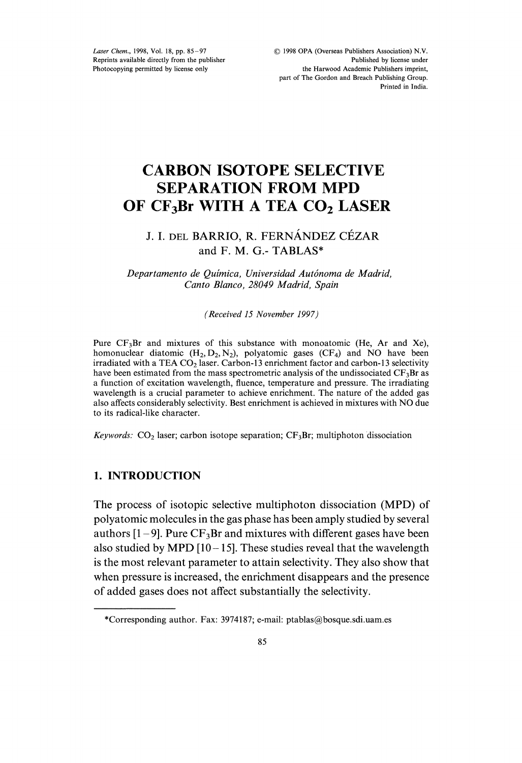Laser Chem., 1998, Vol. 18, pp. 85-97 Reprints available directly from the publisher Photocopying permitted by license only

# CARBON ISOTOPE SELECTIVE SEPARATION FROM MPD OF CF3Br WITH A TEA CO2 LASER

## J. I. DEL BARRIO, R. FERNÁNDEZ CÉZAR and F. M. G.- TABLAS\*

Departamento de Química, Universidad Autónoma de Madrid, Canto Blanco, 28049 Madrid, Spain

(Received 15 November 1997)

Pure  $CF<sub>3</sub>Br$  and mixtures of this substance with monoatomic (He, Ar and Xe), homonuclear diatomic  $(H_2, D_2, N_2)$ , polyatomic gases  $(CF_4)$  and NO have been irradiated with a TEA CO<sub>2</sub> laser. Carbon-13 enrichment factor and carbon-13 selectivity have been estimated from the mass spectrometric analysis of the undissociated  $CF_3Br$  as a function of excitation wavelength, fluence, temperature and pressure. The irradiating wavelength is a crucial parameter to achieve enrichment. The nature of the added gas also affects considerably selectivity. Best enrichment is achieved in mixtures with NO due to its radical-like character.

Keywords:  $CO<sub>2</sub>$  laser; carbon isotope separation;  $CF<sub>3</sub>Br$ ; multiphoton dissociation

## 1. INTRODUCTION

The process of isotopic selective multiphoton dissociation (MPD) of polyatomic molecules in the gas phase has been amply studied by several authors  $[1 - 9]$ . Pure CF<sub>3</sub>Br and mixtures with different gases have been also studied by MPD  $[10-15]$ . These studies reveal that the wavelength is the most relevant parameter to attain selectivity. They also show that when pressure is increased, the enrichment disappears and the presence of added gases does not affect substantially the selectivity.

<sup>\*</sup>Corresponding author. Fax: 3974187; e-mail: ptablas@bosque.sdi.uam.es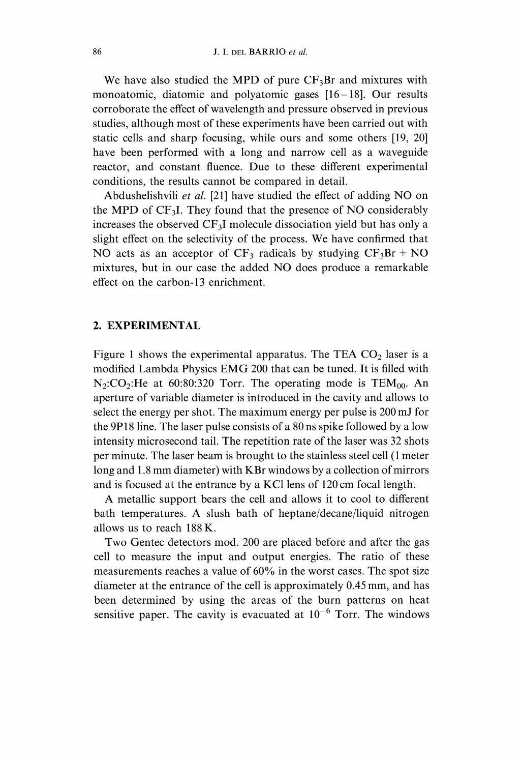We have also studied the MPD of pure  $CF_3Br$  and mixtures with monoatomic, diatomic and polyatomic gases [16-18]. Our results corroborate the effect of wavelength and pressure observed in previous studies, although most of these experiments have been carried out with static cells and sharp focusing, while ours and some others [19, 20] have been performed with a long and narrow cell as a waveguide reactor, and constant fluence. Due to these different experimental conditions, the results cannot be compared in detail.

Abdushelishvili et al. [21] have studied the effect of adding NO on the MPD of  $CF<sub>3</sub>I$ . They found that the presence of NO considerably increases the observed  $CF_3I$  molecule dissociation yield but has only a slight effect on the selectivity of the process. We have confirmed that NO acts as an acceptor of  $CF_3$  radicals by studying  $CF_3Br + NO$ mixtures, but in our case the added NO does produce <sup>a</sup> remarkable effect on the carbon-13 enrichment.

## 2. EXPERIMENTAL

Figure 1 shows the experimental apparatus. The TEA  $CO<sub>2</sub>$  laser is a modified Lambda Physics EMG <sup>200</sup> that can be tuned. It is filled with  $N_2$ :CO<sub>2</sub>:He at 60:80:320 Torr. The operating mode is TEM<sub>00</sub>. An aperture of variable diameter is introduced in the cavity and allows to select the energy per shot. The maximum energy per pulse is 200 mJ for the 9P18 line. The laser pulse consists of a 80 ns spike followed by a low intensity microsecond tail. The repetition rate of the laser was 32 shots per minute. The laser beam is brought to the stainless steel cell (1 meter long and 1.8 mm diameter) with KBr windows by <sup>a</sup> collection of mirrors and is focused at the entrance by a KCl lens of 120 cm focal length.

A metallic support bears the cell and allows it to cool to different bath temperatures. A slush bath of heptane/decane/liquid nitrogen allows us to reach 188 K.

Two Gentec detectors mod. 200 are placed before and after the gas cell to measure the input and output energies. The ratio of these measurements reaches a value of 60% in the worst cases. The spot size diameter at the entrance of the cell is approximately 0.45 mm, and has been determined by using the areas of the burn patterns on heat sensitive paper. The cavity is evacuated at  $10^{-6}$  Torr. The windows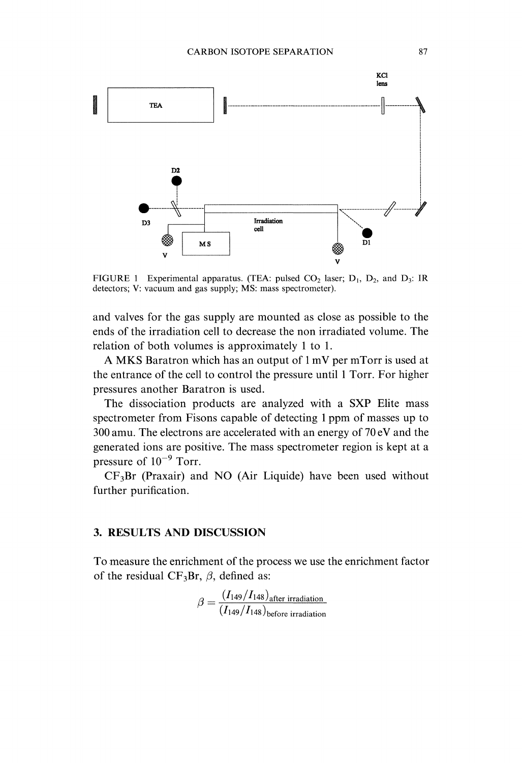

FIGURE 1 Experimental apparatus. (TEA: pulsed  $CO_2$  laser;  $D_1$ ,  $D_2$ , and  $D_3$ : IR detectors; V: vacuum and gas supply; MS: mass spectrometer).

and valves for the gas supply are mounted as close as possible to the ends of the irradiation cell to decrease the non irradiated volume. The relation of both volumes is approximately 1 to 1.

A MKS Baratron which has an output of  $1 \text{ mV}$  per mTorr is used at the entrance of the cell to control the pressure until Torr. For higher pressures another Baratron is used.

The dissociation products are analyzed with a SXP Elite mass spectrometer from Fisons capable of detecting 1 ppm of masses up to 300 amu. The electrons are accelerated with an energy of 70 eV and the generated ions are positive. The mass spectrometer region is kept at a pressure of  $10^{-9}$  Torr.

 $CF<sub>3</sub>Br$  (Praxair) and NO (Air Liquide) have been used without further purification.

## 3. RESULTS AND DISCUSSION

To measure the enrichment of the process we use the enrichment factor of the residual CF<sub>3</sub>Br,  $\beta$ , defined as:

$$
\beta = \frac{(I_{149}/I_{148})_{after\ irradiation}}{(I_{149}/I_{148})_{before\ irradiation}}
$$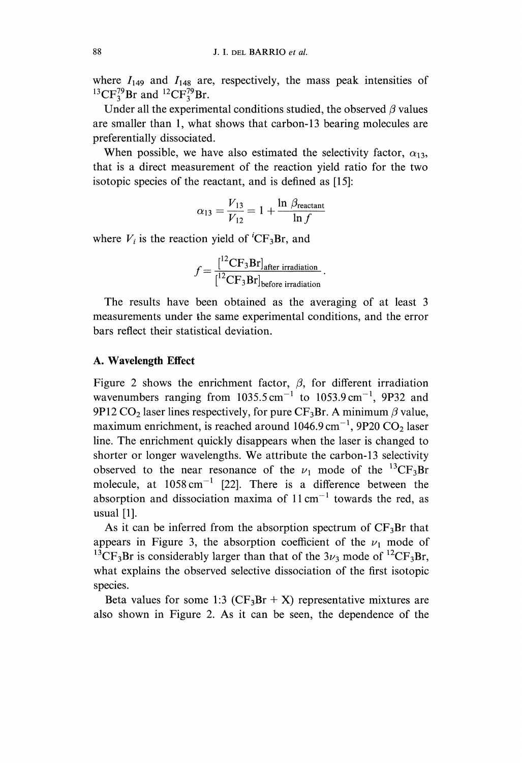where  $I_{149}$  and  $I_{148}$  are, respectively, the mass peak intensities of  ${}^{13}CF_3^{79}Br$  and  ${}^{12}CF_3^{79}Br$ .

Under all the experimental conditions studied, the observed  $\beta$  values are smaller than 1, what shows that carbon-13 bearing molecules are preferentially dissociated.

When possible, we have also estimated the selectivity factor,  $\alpha_{13}$ , that is a direct measurement of the reaction yield ratio for the two isotopic species of the reactant, and is defined as [15]:

$$
\alpha_{13} = \frac{V_{13}}{V_{12}} = 1 + \frac{\ln \beta_{\text{reactant}}}{\ln f}
$$

where  $V_i$  is the reaction yield of <sup>*i*</sup>CF<sub>3</sub>Br, and

$$
f = \frac{[^{12}CF_3Br]_{after\ irradiation}}{[^{12}CF_3Br]_{before\ irradiation}}.
$$

The results have been obtained as the averaging of at least <sup>3</sup> measurements under the same experimental conditions, and the error bars reflect their statistical deviation.

### A. Wavelength Effect

Figure 2 shows the enrichment factor,  $\beta$ , for different irradiation wavenumbers ranging from  $1035.5 \text{ cm}^{-1}$  to  $1053.9 \text{ cm}^{-1}$ , 9P32 and 9P12 CO<sub>2</sub> laser lines respectively, for pure CF<sub>3</sub>Br. A minimum  $\beta$  value, maximum enrichment, is reached around  $1046.9 \text{ cm}^{-1}$ , 9P20 CO<sub>2</sub> laser line. The enrichment quickly disappears when the laser is changed to shorter or longer wavelengths. We attribute the carbon-13 selectivity observed to the near resonance of the  $\nu_1$  mode of the <sup>13</sup>CF<sub>3</sub>Br molecule, at  $1058 \text{ cm}^{-1}$  [22]. There is a difference between the absorption and dissociation maxima of  $11 \text{ cm}^{-1}$  towards the red, as usual [1].

As it can be inferred from the absorption spectrum of  $CF_3Br$  that appears in Figure 3, the absorption coefficient of the  $\nu_1$  mode of <sup>13</sup>CF<sub>3</sub>Br is considerably larger than that of the  $3\nu_3$  mode of <sup>12</sup>CF<sub>3</sub>Br, what explains the observed selective dissociation of the first isotopic species.

Beta values for some 1:3 ( $CF_3Br + X$ ) representative mixtures are also shown in Figure 2. As it can be seen, the dependence of the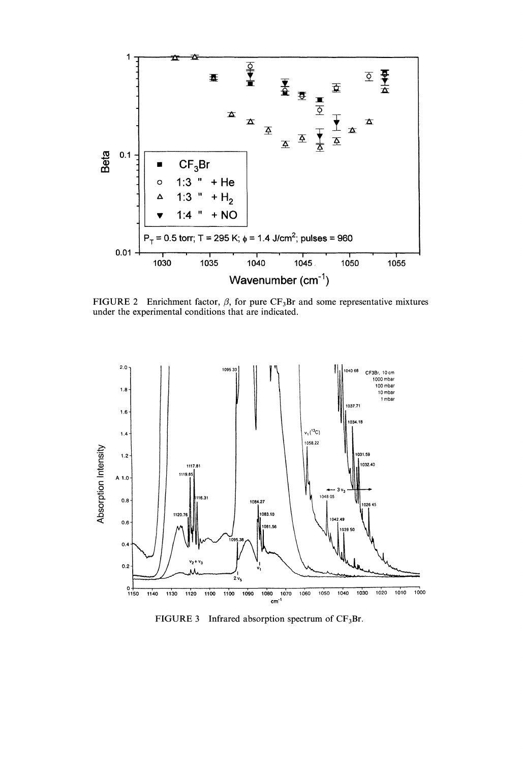

FIGURE 2 Enrichment factor,  $\beta$ , for pure CF<sub>3</sub>Br and some representative mixtures under the experimental conditions that are indicated.



FIGURE 3 Infrared absorption spectrum of  $CF_3Br$ .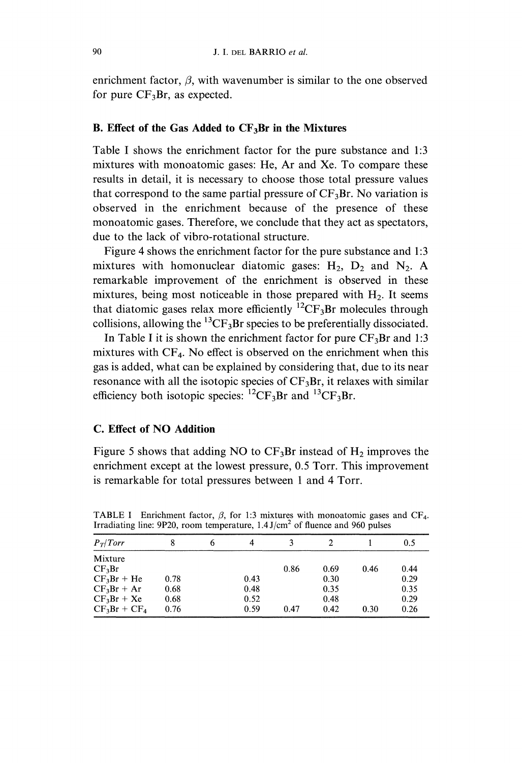enrichment factor,  $\beta$ , with wavenumber is similar to the one observed for pure  $CF_3Br$ , as expected.

### B. Effect of the Gas Added to  $CF_3Br$  in the Mixtures

Table <sup>I</sup> shows the enrichment factor for the pure substance and 1:3 mixtures with monoatomic gases: He, Ar and Xe. To compare these results in detail, it is necessary to choose those total pressure values that correspond to the same partial pressure of  $CF_3Br$ . No variation is observed in the enrichment because of the presence of these monoatomic gases. Therefore, we conclude that they act as spectators, due to the lack of vibro-rotational structure.

Figure 4 shows the enrichment factor for the pure substance and 1:3 mixtures with homonuclear diatomic gases:  $H_2$ ,  $D_2$  and  $N_2$ . A remarkable improvement of the enrichment is observed in these mixtures, being most noticeable in those prepared with  $H<sub>2</sub>$ . It seems that diatomic gases relax more efficiently  ${}^{12}CF_3Br$  molecules through collisions, allowing the  ${}^{13}CF_3Br$  species to be preferentially dissociated.

In Table I it is shown the enrichment factor for pure  $CF_3Br$  and 1:3 mixtures with  $CF_4$ . No effect is observed on the enrichment when this gas is added, what can be explained by considering that, due to its near resonance with all the isotopic species of  $CF_3Br$ , it relaxes with similar efficiency both isotopic species:  ${}^{12}CF_3Br$  and  ${}^{13}CF_3Br$ .

## C. Effect of NO Addition

Figure 5 shows that adding NO to  $CF_3Br$  instead of  $H_2$  improves the enrichment except at the lowest pressure, 0.5 Torr. This improvement is remarkable for total pressures between 1 and 4 Torr.

| $P_T/Torr$         |      | 6 | 4    |      |      |      | 0.5  |
|--------------------|------|---|------|------|------|------|------|
| Mixture            |      |   |      |      |      |      |      |
| CF <sub>3</sub> Br |      |   |      | 0.86 | 0.69 | 0.46 | 0.44 |
| $CF_3Br + He$      | 0.78 |   | 0.43 |      | 0.30 |      | 0.29 |
| $CF_3Br + Ar$      | 0.68 |   | 0.48 |      | 0.35 |      | 0.35 |
| $CF_3Br + Xe$      | 0.68 |   | 0.52 |      | 0.48 |      | 0.29 |
| $CF_3Br + CF_4$    | 0.76 |   | 0.59 | 0.47 | 0.42 | 0.30 | 0.26 |

TABLE I Enrichment factor,  $\beta$ , for 1:3 mixtures with monoatomic gases and CF<sub>4</sub>. Irradiating line: 9P20, room temperature,  $1.4 \text{ J/cm}^2$  of fluence and 960 pulses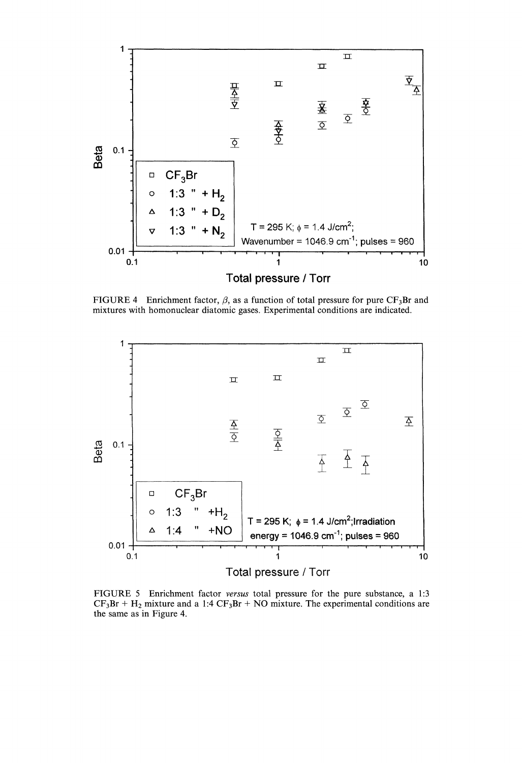

FIGURE 4 Enrichment factor,  $\beta$ , as a function of total pressure for pure CF<sub>3</sub>Br and mixtures with homonuclear diatomic gases. Experimental conditions are indicated.



FIGURE <sup>5</sup> Enrichment factor versus total pressure for the pure substance, <sup>a</sup> 1:3  $CF_3Br + H_2$  mixture and a 1:4  $CF_3Br + NO$  mixture. The experimental conditions are the same as in Figure 4.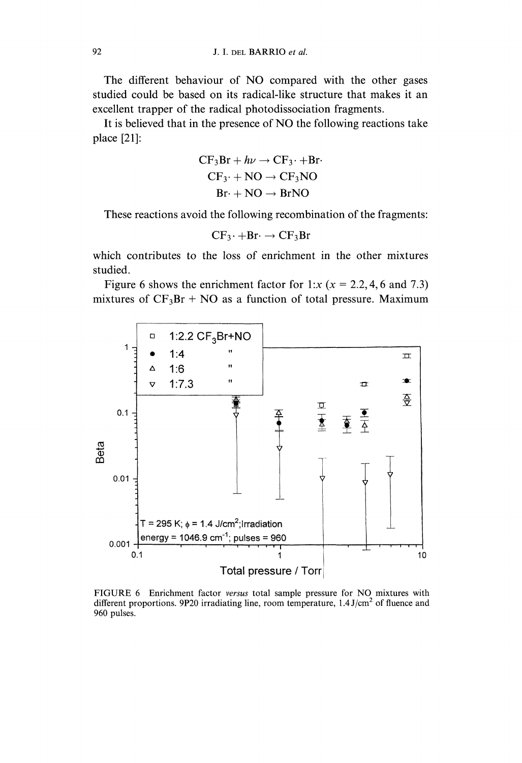The different behaviour of NO compared with the other gases studied could be based on its radical-like structure that makes it an excellent trapper of the radical photodissociation fragments.

It is believed that in the presence of NO the following reactions take place [21]:

$$
CF3Br + h\nu \rightarrow CF3 + Br
$$
  
CF<sub>3</sub> + NO  $\rightarrow$  CF<sub>3</sub>NO  
Br + NO  $\rightarrow$  BrNO

 $Br + NO \rightarrow BrNO$ <br>These reactions avoid the following recombination of the fragments:

$$
CF_3\cdot + Br\cdot \rightarrow CF_3Br
$$

which contributes to the loss of enrichment in the other mixtures studied.

Figure 6 shows the enrichment factor for 1:x ( $x = 2.2, 4, 6$  and 7.3) mixtures of  $CF_3Br + NO$  as a function of total pressure. Maximum



FIGURE 6 Enrichment factor versus total sample pressure for NO mixtures with different proportions. 9P20 irradiating line, room temperature,  $1.4 \text{ J/cm}^2$  of fluence and 960 pulses.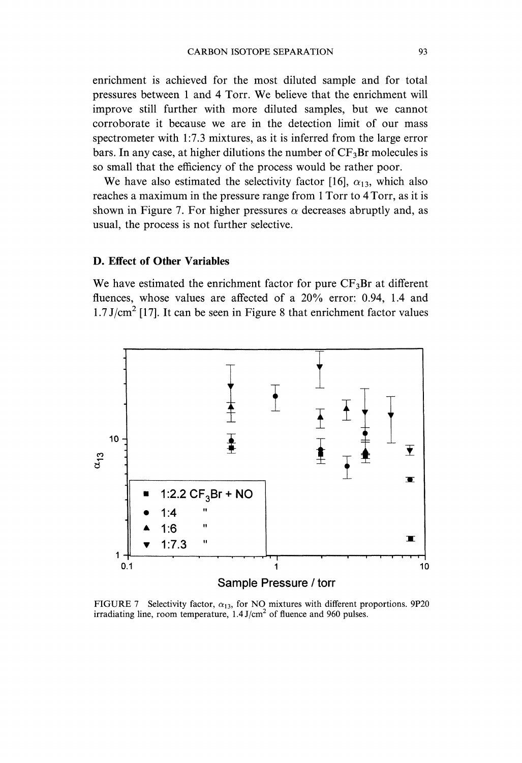enrichment is achieved for the most diluted sample and for total pressures between <sup>1</sup> and <sup>4</sup> Torr. We believe that the enrichment will improve still further with more diluted samples, but we cannot corroborate it because we are in the detection limit of our mass spectrometer with 1:7.3 mixtures, as it is inferred from the large error bars. In any case, at higher dilutions the number of  $CF_3Br$  molecules is so small that the efficiency of the process would be rather poor.

We have also estimated the selectivity factor [16],  $\alpha_{13}$ , which also reaches a maximum in the pressure range from 1 Torr to 4 Torr, as it is shown in Figure 7. For higher pressures  $\alpha$  decreases abruptly and, as usual, the process is not further selective.

## D. Effect of Other Variables

We have estimated the enrichment factor for pure  $CF_3Br$  at different fluences, whose values are affected of a 20% error: 0.94, 1.4 and  $1.7 \text{ J/cm}^2$  [17]. It can be seen in Figure 8 that enrichment factor values



FIGURE 7 Selectivity factor,  $\alpha_{13}$ , for NO mixtures with different proportions. 9P20 irradiating line, room temperature,  $1.4 \text{ J/cm}^2$  of fluence and 960 pulses.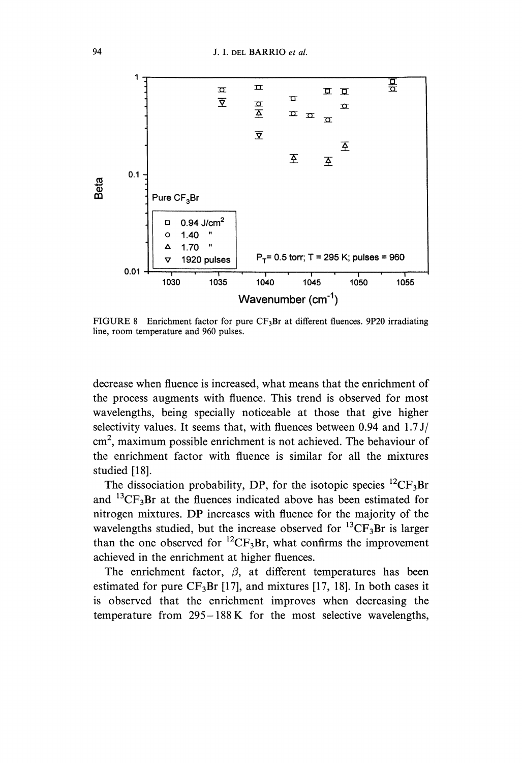

FIGURE 8 Enrichment factor for pure  $CF_3Br$  at different fluences. 9P20 irradiating line, room temperature and 960 pulses.

decrease when fluence is increased, what means that the enrichment of the process augments with fluence. This trend is observed for most wavelengths, being specially noticeable at those that give higher selectivity values. It seems that, with fluences between 0.94 and 1.7 J/ cm2, maximum possible enrichment is not achieved. The behaviour of the enrichment factor with fluence is similar for all the mixtures studied [18].

The dissociation probability, DP, for the isotopic species  ${}^{12}CF_3Br$ and  ${}^{13}CF_3Br$  at the fluences indicated above has been estimated for nitrogen mixtures. DP increases with fluence for the majority of the wavelengths studied, but the increase observed for  ${}^{13}CF_3Br$  is larger than the one observed for  ${}^{12}CF_3Br$ , what confirms the improvement achieved in the enrichment at higher fluences.

The enrichment factor,  $\beta$ , at different temperatures has been estimated for pure  $CF_3Br$  [17], and mixtures [17, 18]. In both cases it is observed that the enrichment improves when decreasing the temperature from 295-188 K for the most selective wavelengths,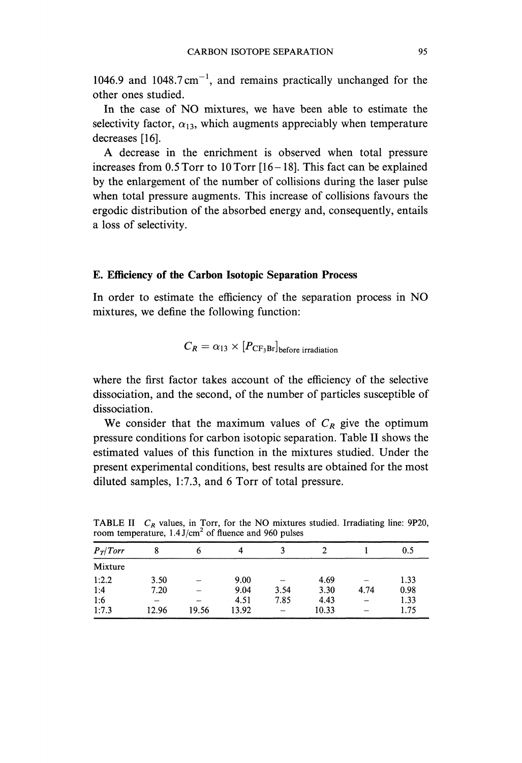1046.9 and 1048.7 cm<sup>-1</sup>, and remains practically unchanged for the other ones studied.

In the case of NO mixtures, we have been able to estimate the selectivity factor,  $\alpha_{13}$ , which augments appreciably when temperature decreases [16].

A decrease in the enrichment is observed when total pressure increases from 0.5 Torr to 10 Torr [16-18]. This fact can be explained by the enlargement of the number of collisions during the laser pulse when total pressure augments. This increase of collisions favours the ergodic distribution of the absorbed energy and, consequently, entails a loss of selectivity.

#### E. Efficiency of the Carbon Isotopic Separation Process

In order to estimate the efficiency of the separation process in NO mixtures, we define the following function:

$$
C_R = \alpha_{13} \times [P_{\text{CF}_3\text{Br}}]_{\text{before irradiation}}
$$

where the first factor takes account of the efficiency of the selective dissociation, and the second, of the number of particles susceptible of dissociation.

We consider that the maximum values of  $C_R$  give the optimum pressure conditions for carbon isotopic separation. Table II shows the estimated values of this function in the mixtures studied. Under the present experimental conditions, best results are obtained for the most diluted samples, 1:7.3, and 6 Torr of total pressure.

| . .        |       |       |       |                          |       |      |      |  |
|------------|-------|-------|-------|--------------------------|-------|------|------|--|
| $P_T/Torr$ |       |       | 4     |                          |       |      | 0.5  |  |
| Mixture    |       |       |       |                          |       |      |      |  |
| 1:2.2      | 3.50  |       | 9.00  |                          | 4.69  |      | 1.33 |  |
| 1:4        | 7.20  |       | 9.04  | 3.54                     | 3.30  | 4.74 | 0.98 |  |
| 1:6        |       |       | 4.51  | 7.85                     | 4.43  |      | 1.33 |  |
| 1:7.3      | 12.96 | 19.56 | 13.92 | $\overline{\phantom{0}}$ | 10.33 |      | 1.75 |  |

TABLE II  $C_R$  values, in Torr, for the NO mixtures studied. Irradiating line: 9P20, room temperature,  $1.4 \text{ J/cm}^2$  of fluence and 960 pulses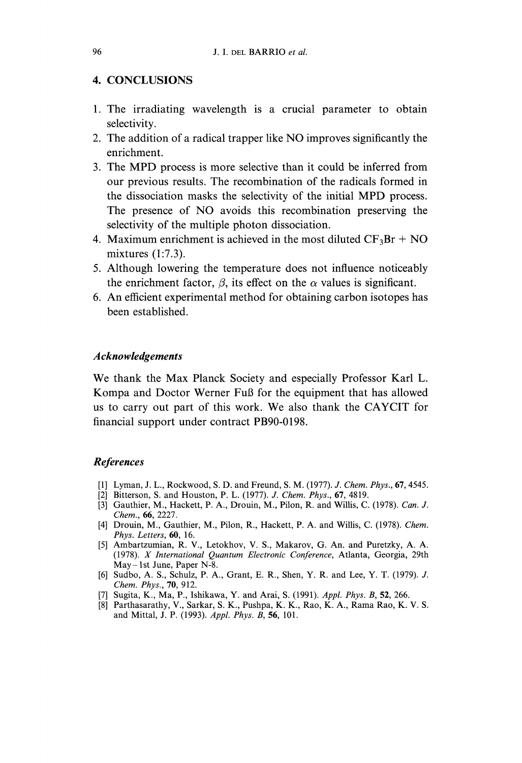## 4. CONCLUSIONS

- 1. The irradiating wavelength is a crucial parameter to obtain selectivity.
- 2. The addition of <sup>a</sup> radical trapper like NO improves significantly the enrichment.
- 3. The MPD process is more selective than it could be inferred from our previous results. The recombination of the radicals formed in the dissociation masks the selectivity of the initial MPD process. The presence of NO avoids this recombination preserving the selectivity of the multiple photon dissociation.
- 4. Maximum enrichment is achieved in the most diluted  $CF_3Br + NO$ mixtures (1:7.3).
- 5. Although lowering the temperature does not influence noticeably the enrichment factor,  $\beta$ , its effect on the  $\alpha$  values is significant.
- 6. An efficient experimental method for obtaining carbon isotopes has been established.

### Acknowledgements

We thank the Max Planck Society and especially Professor Karl L. Kompa and Doctor Werner Ful3 for the equipment that has allowed us to carry out part of this work. We also thank the CAYCIT for financial support under contract PB90-0198.

## References

- [1] Lyman, J. L., Rockwood, S. D. and Freund, S. M. (1977). J. Chem. Phys., **67**, 4545.
- [2] Bitterson, S. and Houston, P. L. (1977). J. Chem. Phys., 67, 4819.
- [3] Gauthier, M., Hackett, P. A., Drouin, M., Pilon, R. and Willis, C. (1978). Can. J. Chem., 66, 2227.
- [4] Drouin, M., Gauthier, M., Pilon, R., Hackett, P. A. and Willis, C. (1978). Chem. Phys. Letters, 60, 16.
- [5] Ambartzumian, R. V., Letokhov, V. S., Makarov, G. An. and Puretzky, A. A. (1978). X International Quantum Electronic Conference, Atlanta, Georgia, 29th May-1st June, Paper N-8.
- [6] Sudbo, A. S., Schulz, P. A., Grant, E. R., Shen, Y. R. and Lee, Y. T. (1979). J. Chem. Phys., 70, 912.
- [7] Sugita, K., Ma, P., Ishikawa, Y. and Arai, S. (1991). Appl. Phys. B, 52, 266.
- [8] Parthasarathy, V., Sarkar, S. K., Pushpa, K. K., Rao, K. A., Rama Rao, K. V. S. and Mittal, J. P. (1993). Appl. Phys. B, 56, 101.